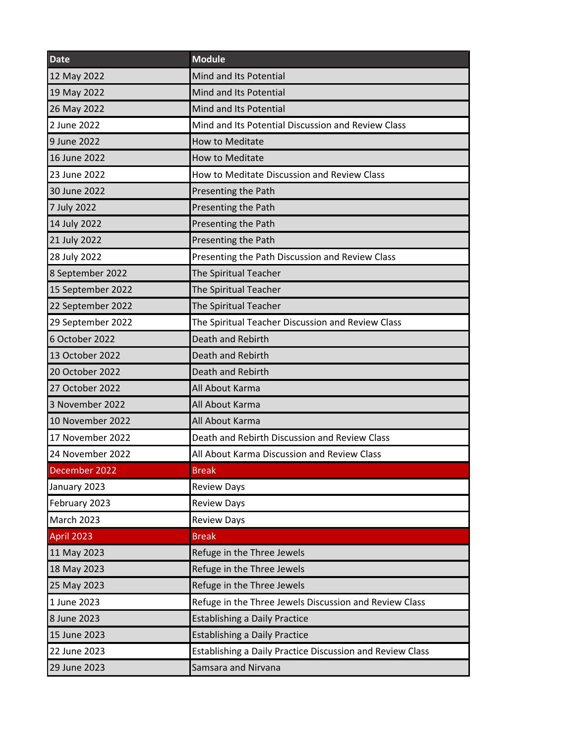| <b>Date</b>       | <b>Module</b>                                             |
|-------------------|-----------------------------------------------------------|
| 12 May 2022       | Mind and Its Potential                                    |
| 19 May 2022       | Mind and Its Potential                                    |
| 26 May 2022       | Mind and Its Potential                                    |
| 2 June 2022       | Mind and Its Potential Discussion and Review Class        |
| 9 June 2022       | <b>How to Meditate</b>                                    |
| 16 June 2022      | <b>How to Meditate</b>                                    |
| 23 June 2022      | How to Meditate Discussion and Review Class               |
| 30 June 2022      | Presenting the Path                                       |
| 7 July 2022       | Presenting the Path                                       |
| 14 July 2022      | Presenting the Path                                       |
| 21 July 2022      | Presenting the Path                                       |
| 28 July 2022      | Presenting the Path Discussion and Review Class           |
| 8 September 2022  | The Spiritual Teacher                                     |
| 15 September 2022 | The Spiritual Teacher                                     |
| 22 September 2022 | The Spiritual Teacher                                     |
| 29 September 2022 | The Spiritual Teacher Discussion and Review Class         |
| 6 October 2022    | Death and Rebirth                                         |
| 13 October 2022   | Death and Rebirth                                         |
| 20 October 2022   | Death and Rebirth                                         |
| 27 October 2022   | All About Karma                                           |
| 3 November 2022   | All About Karma                                           |
| 10 November 2022  | All About Karma                                           |
| 17 November 2022  | Death and Rebirth Discussion and Review Class             |
| 24 November 2022  | All About Karma Discussion and Review Class               |
| December 2022     | <b>Break</b>                                              |
| January 2023      | <b>Review Days</b>                                        |
| February 2023     | <b>Review Days</b>                                        |
| <b>March 2023</b> | <b>Review Days</b>                                        |
| <b>April 2023</b> | <b>Break</b>                                              |
| 11 May 2023       | Refuge in the Three Jewels                                |
| 18 May 2023       | Refuge in the Three Jewels                                |
| 25 May 2023       | Refuge in the Three Jewels                                |
| 1 June 2023       | Refuge in the Three Jewels Discussion and Review Class    |
| 8 June 2023       | <b>Establishing a Daily Practice</b>                      |
| 15 June 2023      | <b>Establishing a Daily Practice</b>                      |
| 22 June 2023      | Establishing a Daily Practice Discussion and Review Class |
| 29 June 2023      | Samsara and Nirvana                                       |